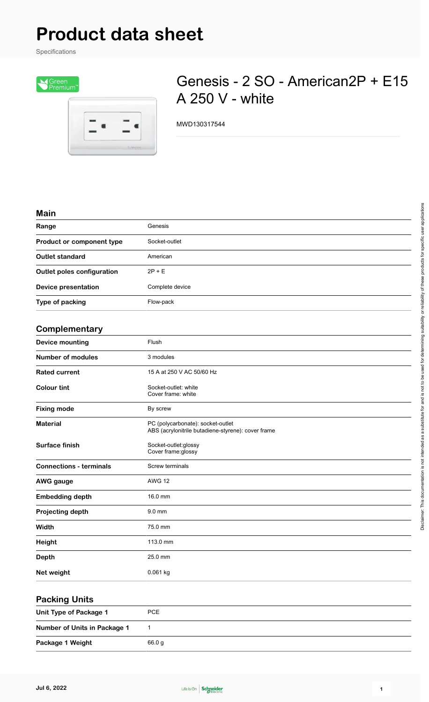## **Product data sheet**

Specifications



## Genesis - 2 SO - American2P + E15 A 250 V - white

MWD130317544

## **Main**

| Range                             | Genesis                                                                                 |
|-----------------------------------|-----------------------------------------------------------------------------------------|
| Product or component type         | Socket-outlet                                                                           |
| <b>Outlet standard</b>            | American                                                                                |
| <b>Outlet poles configuration</b> | $2P + E$                                                                                |
| <b>Device presentation</b>        | Complete device                                                                         |
| Type of packing                   | Flow-pack                                                                               |
| Complementary                     |                                                                                         |
| <b>Device mounting</b>            | Flush                                                                                   |
| <b>Number of modules</b>          | 3 modules                                                                               |
| <b>Rated current</b>              | 15 A at 250 V AC 50/60 Hz                                                               |
| <b>Colour tint</b>                | Socket-outlet: white<br>Cover frame: white                                              |
| <b>Fixing mode</b>                | By screw                                                                                |
| <b>Material</b>                   | PC (polycarbonate): socket-outlet<br>ABS (acrylonitrile butadiene-styrene): cover frame |
| <b>Surface finish</b>             | Socket-outlet:glossy<br>Cover frame:glossy                                              |
| <b>Connections - terminals</b>    | <b>Screw terminals</b>                                                                  |
| <b>AWG</b> gauge                  | <b>AWG 12</b>                                                                           |
| <b>Embedding depth</b>            | 16.0 mm                                                                                 |
| Projecting depth                  | 9.0 mm                                                                                  |
| Width                             | 75.0 mm                                                                                 |
| Height                            | 113.0 mm                                                                                |
| <b>Depth</b>                      | 25.0 mm                                                                                 |
| Net weight                        | 0.061 kg                                                                                |
|                                   |                                                                                         |

| <b>Packing Units</b>         |        |  |
|------------------------------|--------|--|
| Unit Type of Package 1       | PCE    |  |
| Number of Units in Package 1 |        |  |
| Package 1 Weight             | 66.0 g |  |